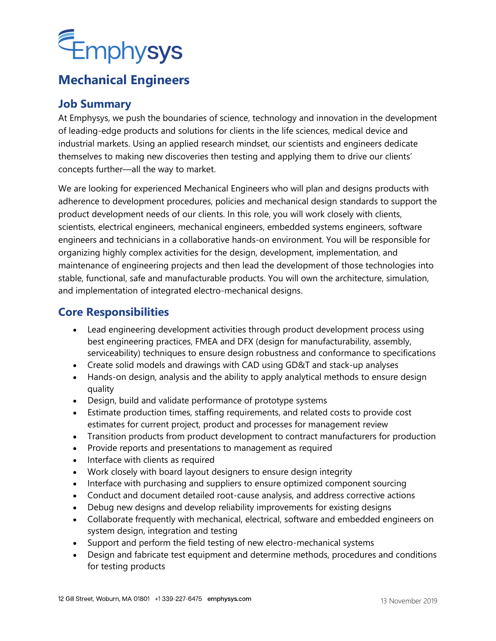

## **Mechanical Engineers**

## **Job Summary**

At Emphysys, we push the boundaries of science, technology and innovation in the development of leading-edge products and solutions for clients in the life sciences, medical device and industrial markets. Using an applied research mindset, our scientists and engineers dedicate themselves to making new discoveries then testing and applying them to drive our clients' concepts further—all the way to market.

We are looking for experienced Mechanical Engineers who will plan and designs products with adherence to development procedures, policies and mechanical design standards to support the product development needs of our clients. In this role, you will work closely with clients, scientists, electrical engineers, mechanical engineers, embedded systems engineers, software engineers and technicians in a collaborative hands-on environment. You will be responsible for organizing highly complex activities for the design, development, implementation, and maintenance of engineering projects and then lead the development of those technologies into stable, functional, safe and manufacturable products. You will own the architecture, simulation, and implementation of integrated electro-mechanical designs.

## **Core Responsibilities**

- Lead engineering development activities through product development process using best engineering practices, FMEA and DFX (design for manufacturability, assembly, serviceability) techniques to ensure design robustness and conformance to specifications
- Create solid models and drawings with CAD using GD&T and stack-up analyses
- Hands-on design, analysis and the ability to apply analytical methods to ensure design quality
- Design, build and validate performance of prototype systems
- Estimate production times, staffing requirements, and related costs to provide cost estimates for current project, product and processes for management review
- Transition products from product development to contract manufacturers for production
- Provide reports and presentations to management as required
- Interface with clients as required
- Work closely with board layout designers to ensure design integrity
- Interface with purchasing and suppliers to ensure optimized component sourcing
- Conduct and document detailed root-cause analysis, and address corrective actions
- Debug new designs and develop reliability improvements for existing designs
- Collaborate frequently with mechanical, electrical, software and embedded engineers on system design, integration and testing
- Support and perform the field testing of new electro-mechanical systems
- Design and fabricate test equipment and determine methods, procedures and conditions for testing products